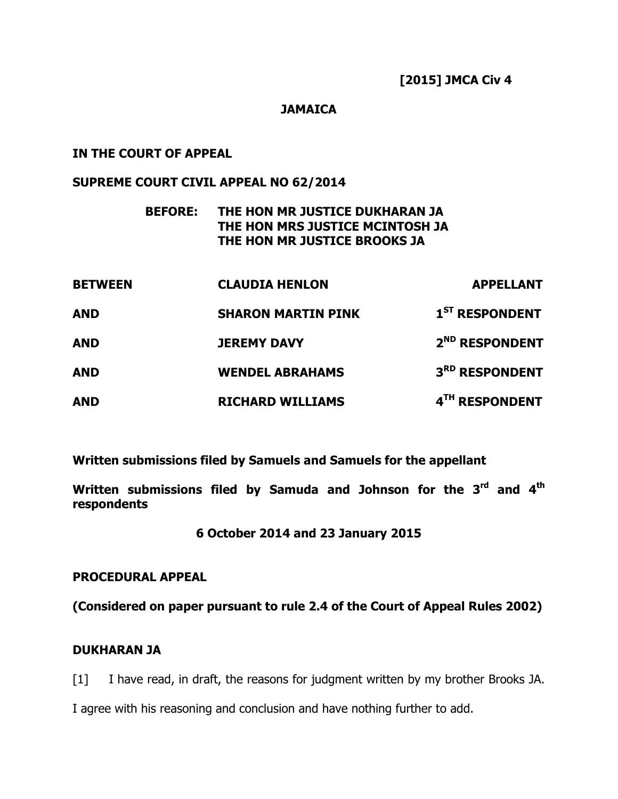## **JAMAICA**

## **IN THE COURT OF APPEAL**

## **SUPREME COURT CIVIL APPEAL NO 62/2014**

# **BEFORE: THE HON MR JUSTICE DUKHARAN JA THE HON MRS JUSTICE MCINTOSH JA THE HON MR JUSTICE BROOKS JA**

| <b>BETWEEN</b> | <b>CLAUDIA HENLON</b>     | <b>APPELLANT</b>           |
|----------------|---------------------------|----------------------------|
| <b>AND</b>     | <b>SHARON MARTIN PINK</b> | 1 <sup>ST</sup> RESPONDENT |
| <b>AND</b>     | <b>JEREMY DAVY</b>        | 2 <sup>ND</sup> RESPONDENT |
| <b>AND</b>     | <b>WENDEL ABRAHAMS</b>    | 3 <sup>RD</sup> RESPONDENT |
| <b>AND</b>     | <b>RICHARD WILLIAMS</b>   | 4TH RESPONDENT             |

**Written submissions filed by Samuels and Samuels for the appellant** 

**Written submissions filed by Samuda and Johnson for the 3rd and 4th respondents** 

**6 October 2014 and 23 January 2015** 

### **PROCEDURAL APPEAL**

**(Considered on paper pursuant to rule 2.4 of the Court of Appeal Rules 2002)** 

### **DUKHARAN JA**

[1] I have read, in draft, the reasons for judgment written by my brother Brooks JA.

I agree with his reasoning and conclusion and have nothing further to add.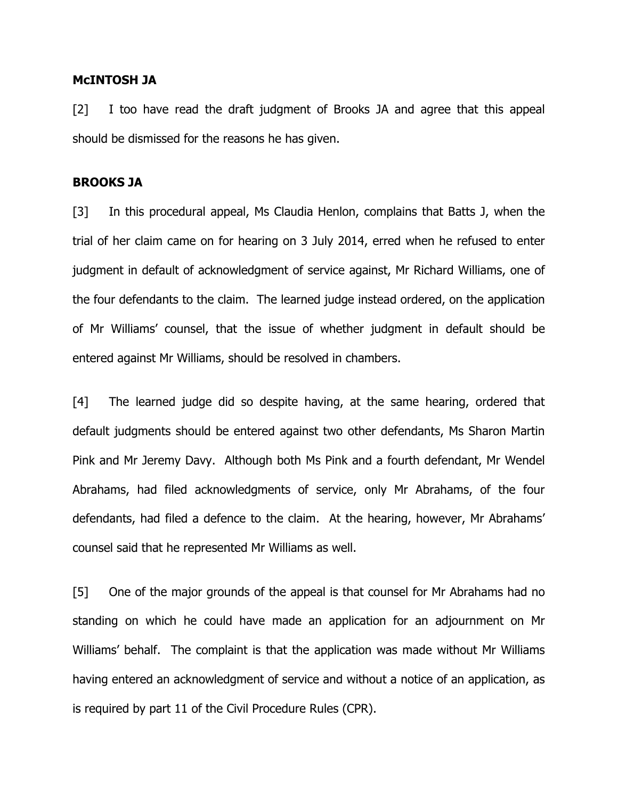#### **McINTOSH JA**

[2] I too have read the draft judgment of Brooks JA and agree that this appeal should be dismissed for the reasons he has given.

### **BROOKS JA**

[3] In this procedural appeal, Ms Claudia Henlon, complains that Batts J, when the trial of her claim came on for hearing on 3 July 2014, erred when he refused to enter judgment in default of acknowledgment of service against, Mr Richard Williams, one of the four defendants to the claim. The learned judge instead ordered, on the application of Mr Williams' counsel, that the issue of whether judgment in default should be entered against Mr Williams, should be resolved in chambers.

[4] The learned judge did so despite having, at the same hearing, ordered that default judgments should be entered against two other defendants, Ms Sharon Martin Pink and Mr Jeremy Davy. Although both Ms Pink and a fourth defendant, Mr Wendel Abrahams, had filed acknowledgments of service, only Mr Abrahams, of the four defendants, had filed a defence to the claim. At the hearing, however, Mr Abrahams' counsel said that he represented Mr Williams as well.

[5] One of the major grounds of the appeal is that counsel for Mr Abrahams had no standing on which he could have made an application for an adjournment on Mr Williams' behalf. The complaint is that the application was made without Mr Williams having entered an acknowledgment of service and without a notice of an application, as is required by part 11 of the Civil Procedure Rules (CPR).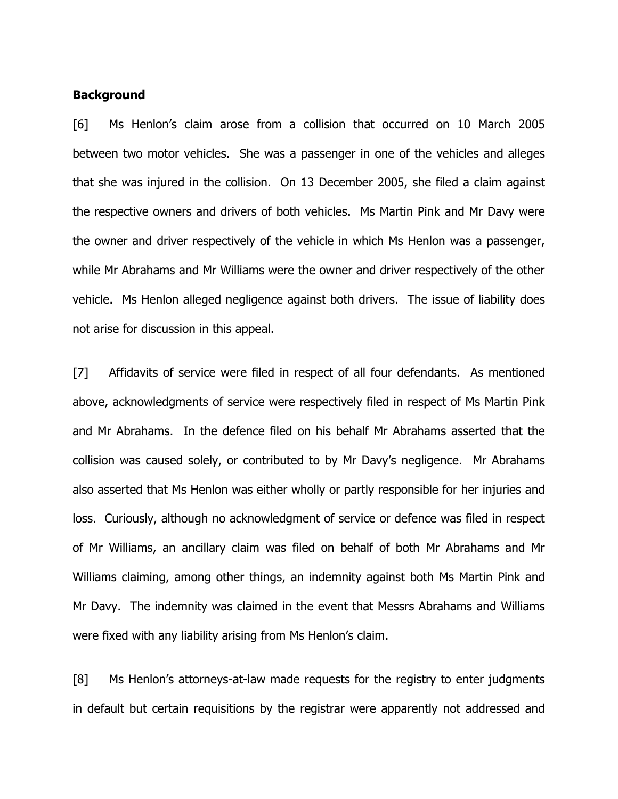#### **Background**

[6] Ms Henlon's claim arose from a collision that occurred on 10 March 2005 between two motor vehicles. She was a passenger in one of the vehicles and alleges that she was injured in the collision. On 13 December 2005, she filed a claim against the respective owners and drivers of both vehicles. Ms Martin Pink and Mr Davy were the owner and driver respectively of the vehicle in which Ms Henlon was a passenger, while Mr Abrahams and Mr Williams were the owner and driver respectively of the other vehicle. Ms Henlon alleged negligence against both drivers. The issue of liability does not arise for discussion in this appeal.

[7] Affidavits of service were filed in respect of all four defendants. As mentioned above, acknowledgments of service were respectively filed in respect of Ms Martin Pink and Mr Abrahams. In the defence filed on his behalf Mr Abrahams asserted that the collision was caused solely, or contributed to by Mr Davy's negligence. Mr Abrahams also asserted that Ms Henlon was either wholly or partly responsible for her injuries and loss. Curiously, although no acknowledgment of service or defence was filed in respect of Mr Williams, an ancillary claim was filed on behalf of both Mr Abrahams and Mr Williams claiming, among other things, an indemnity against both Ms Martin Pink and Mr Davy. The indemnity was claimed in the event that Messrs Abrahams and Williams were fixed with any liability arising from Ms Henlon's claim.

[8] Ms Henlon's attorneys-at-law made requests for the registry to enter judgments in default but certain requisitions by the registrar were apparently not addressed and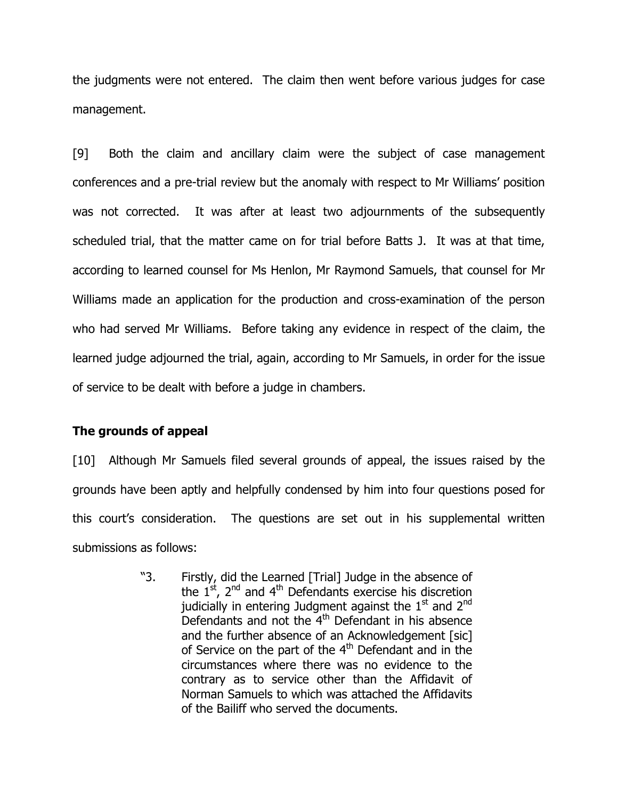the judgments were not entered. The claim then went before various judges for case management.

[9] Both the claim and ancillary claim were the subject of case management conferences and a pre-trial review but the anomaly with respect to Mr Williams' position was not corrected. It was after at least two adjournments of the subsequently scheduled trial, that the matter came on for trial before Batts J. It was at that time, according to learned counsel for Ms Henlon, Mr Raymond Samuels, that counsel for Mr Williams made an application for the production and cross-examination of the person who had served Mr Williams. Before taking any evidence in respect of the claim, the learned judge adjourned the trial, again, according to Mr Samuels, in order for the issue of service to be dealt with before a judge in chambers.

### **The grounds of appeal**

[10] Although Mr Samuels filed several grounds of appeal, the issues raised by the grounds have been aptly and helpfully condensed by him into four questions posed for this court's consideration. The questions are set out in his supplemental written submissions as follows:

> "3. Firstly, did the Learned [Trial] Judge in the absence of the  $1^{st}$ ,  $2^{nd}$  and  $4^{th}$  Defendants exercise his discretion judicially in entering Judgment against the  $1<sup>st</sup>$  and  $2<sup>nd</sup>$ Defendants and not the  $4<sup>th</sup>$  Defendant in his absence and the further absence of an Acknowledgement [sic] of Service on the part of the  $4<sup>th</sup>$  Defendant and in the circumstances where there was no evidence to the contrary as to service other than the Affidavit of Norman Samuels to which was attached the Affidavits of the Bailiff who served the documents.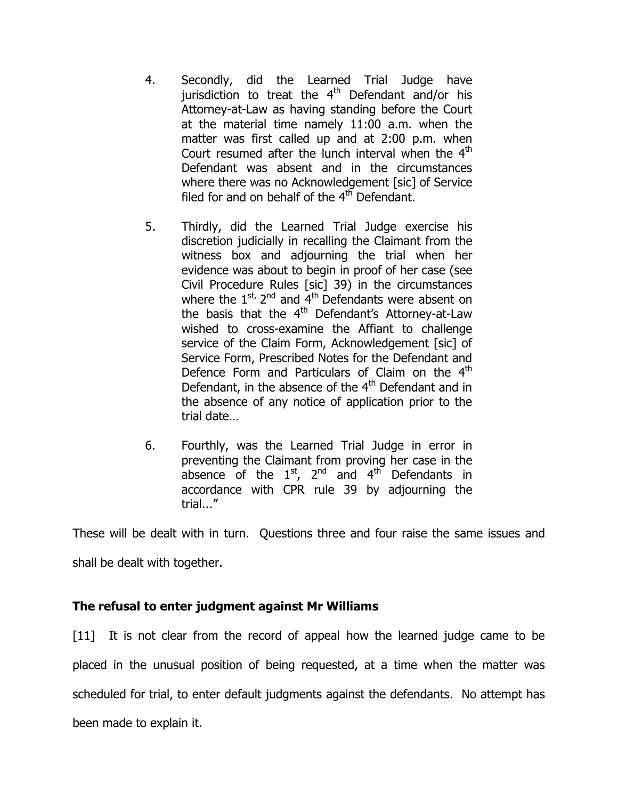- 4. Secondly, did the Learned Trial Judge have jurisdiction to treat the  $4<sup>th</sup>$  Defendant and/or his Attorney-at-Law as having standing before the Court at the material time namely 11:00 a.m. when the matter was first called up and at 2:00 p.m. when Court resumed after the lunch interval when the  $4<sup>th</sup>$ Defendant was absent and in the circumstances where there was no Acknowledgement [sic] of Service filed for and on behalf of the  $4<sup>th</sup>$  Defendant.
- 5. Thirdly, did the Learned Trial Judge exercise his discretion judicially in recalling the Claimant from the witness box and adjourning the trial when her evidence was about to begin in proof of her case (see Civil Procedure Rules [sic] 39) in the circumstances where the  $1^{st}$ ,  $2^{nd}$  and  $4^{th}$  Defendants were absent on the basis that the  $4<sup>th</sup>$  Defendant's Attorney-at-Law wished to cross-examine the Affiant to challenge service of the Claim Form, Acknowledgement [sic] of Service Form, Prescribed Notes for the Defendant and Defence Form and Particulars of Claim on the  $4<sup>th</sup>$ Defendant, in the absence of the 4<sup>th</sup> Defendant and in the absence of any notice of application prior to the trial date…
- 6. Fourthly, was the Learned Trial Judge in error in preventing the Claimant from proving her case in the absence of the  $1<sup>st</sup>$ ,  $2<sup>nd</sup>$  and  $4<sup>th</sup>$  Defendants in accordance with CPR rule 39 by adjourning the trial..."

These will be dealt with in turn. Questions three and four raise the same issues and shall be dealt with together.

## **The refusal to enter judgment against Mr Williams**

[11] It is not clear from the record of appeal how the learned judge came to be placed in the unusual position of being requested, at a time when the matter was scheduled for trial, to enter default judgments against the defendants. No attempt has been made to explain it.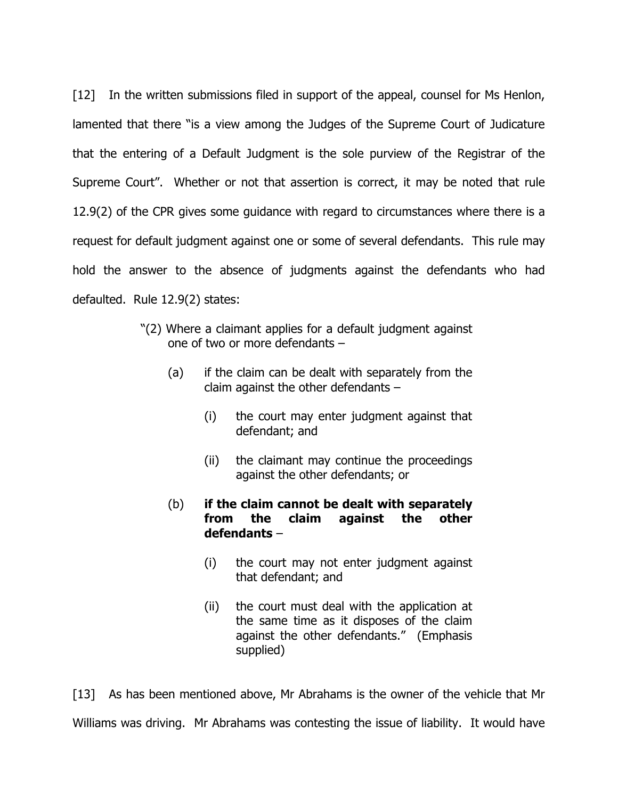[12] In the written submissions filed in support of the appeal, counsel for Ms Henlon, lamented that there "is a view among the Judges of the Supreme Court of Judicature that the entering of a Default Judgment is the sole purview of the Registrar of the Supreme Court". Whether or not that assertion is correct, it may be noted that rule 12.9(2) of the CPR gives some guidance with regard to circumstances where there is a request for default judgment against one or some of several defendants. This rule may hold the answer to the absence of judgments against the defendants who had defaulted. Rule 12.9(2) states:

- "(2) Where a claimant applies for a default judgment against one of two or more defendants –
	- (a) if the claim can be dealt with separately from the claim against the other defendants –
		- (i) the court may enter judgment against that defendant; and
		- (ii) the claimant may continue the proceedings against the other defendants; or

## (b) **if the claim cannot be dealt with separately from the claim against the other defendants** –

- (i) the court may not enter judgment against that defendant; and
- (ii) the court must deal with the application at the same time as it disposes of the claim against the other defendants." (Emphasis supplied)

[13] As has been mentioned above, Mr Abrahams is the owner of the vehicle that Mr Williams was driving. Mr Abrahams was contesting the issue of liability. It would have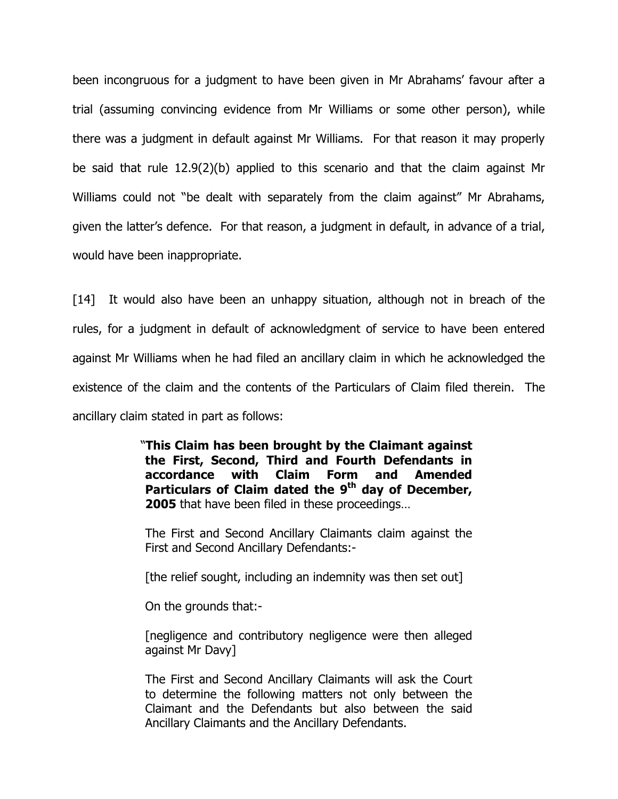been incongruous for a judgment to have been given in Mr Abrahams' favour after a trial (assuming convincing evidence from Mr Williams or some other person), while there was a judgment in default against Mr Williams. For that reason it may properly be said that rule 12.9(2)(b) applied to this scenario and that the claim against Mr Williams could not "be dealt with separately from the claim against" Mr Abrahams, given the latter's defence. For that reason, a judgment in default, in advance of a trial, would have been inappropriate.

[14] It would also have been an unhappy situation, although not in breach of the rules, for a judgment in default of acknowledgment of service to have been entered against Mr Williams when he had filed an ancillary claim in which he acknowledged the existence of the claim and the contents of the Particulars of Claim filed therein. The ancillary claim stated in part as follows:

> "**This Claim has been brought by the Claimant against the First, Second, Third and Fourth Defendants in accordance with Claim Form and Amended Particulars of Claim dated the 9th day of December, 2005** that have been filed in these proceedings…

The First and Second Ancillary Claimants claim against the First and Second Ancillary Defendants:-

[the relief sought, including an indemnity was then set out]

On the grounds that:-

[negligence and contributory negligence were then alleged against Mr Davy]

The First and Second Ancillary Claimants will ask the Court to determine the following matters not only between the Claimant and the Defendants but also between the said Ancillary Claimants and the Ancillary Defendants.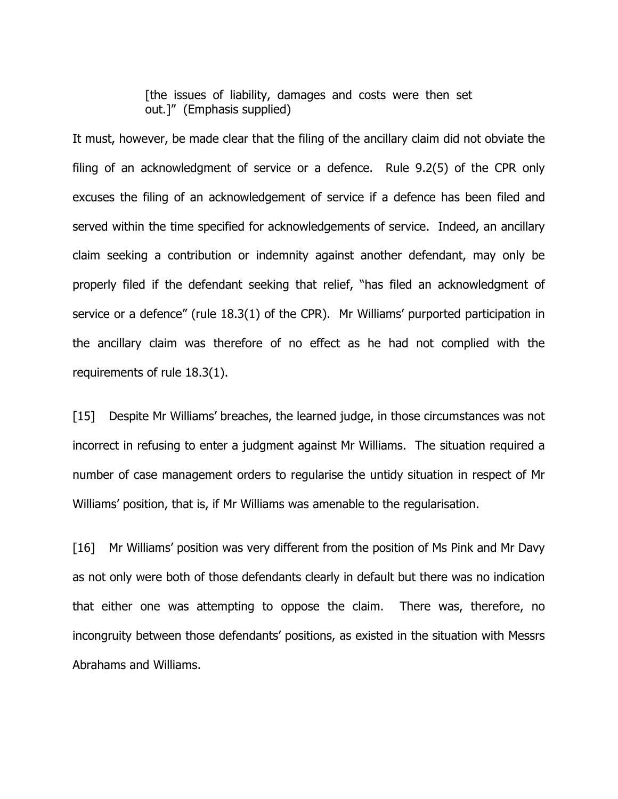[the issues of liability, damages and costs were then set out.]" (Emphasis supplied)

It must, however, be made clear that the filing of the ancillary claim did not obviate the filing of an acknowledgment of service or a defence. Rule 9.2(5) of the CPR only excuses the filing of an acknowledgement of service if a defence has been filed and served within the time specified for acknowledgements of service. Indeed, an ancillary claim seeking a contribution or indemnity against another defendant, may only be properly filed if the defendant seeking that relief, "has filed an acknowledgment of service or a defence" (rule 18.3(1) of the CPR). Mr Williams' purported participation in the ancillary claim was therefore of no effect as he had not complied with the requirements of rule 18.3(1).

[15] Despite Mr Williams' breaches, the learned judge, in those circumstances was not incorrect in refusing to enter a judgment against Mr Williams. The situation required a number of case management orders to regularise the untidy situation in respect of Mr Williams' position, that is, if Mr Williams was amenable to the regularisation.

[16] Mr Williams' position was very different from the position of Ms Pink and Mr Davy as not only were both of those defendants clearly in default but there was no indication that either one was attempting to oppose the claim. There was, therefore, no incongruity between those defendants' positions, as existed in the situation with Messrs Abrahams and Williams.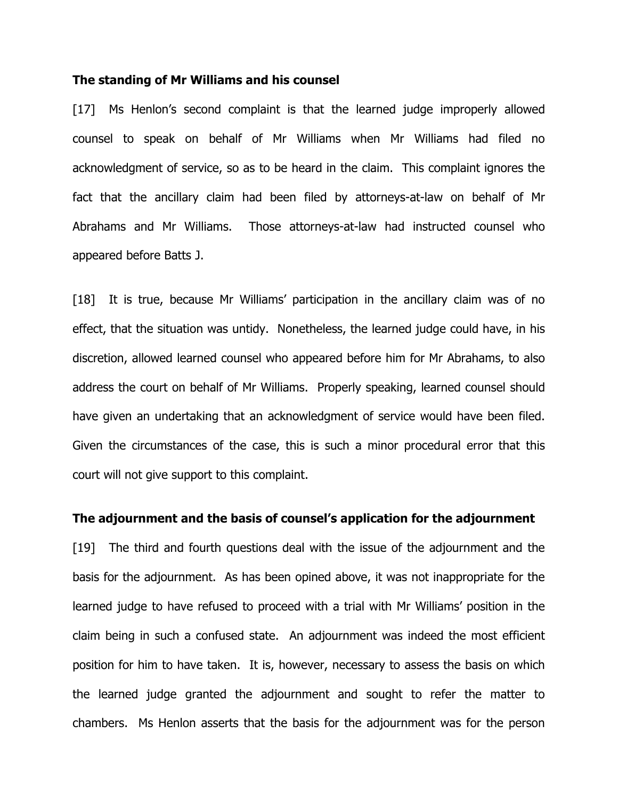#### **The standing of Mr Williams and his counsel**

[17] Ms Henlon's second complaint is that the learned judge improperly allowed counsel to speak on behalf of Mr Williams when Mr Williams had filed no acknowledgment of service, so as to be heard in the claim. This complaint ignores the fact that the ancillary claim had been filed by attorneys-at-law on behalf of Mr Abrahams and Mr Williams. Those attorneys-at-law had instructed counsel who appeared before Batts J.

[18] It is true, because Mr Williams' participation in the ancillary claim was of no effect, that the situation was untidy. Nonetheless, the learned judge could have, in his discretion, allowed learned counsel who appeared before him for Mr Abrahams, to also address the court on behalf of Mr Williams. Properly speaking, learned counsel should have given an undertaking that an acknowledgment of service would have been filed. Given the circumstances of the case, this is such a minor procedural error that this court will not give support to this complaint.

### **The adjournment and the basis of counsel's application for the adjournment**

[19] The third and fourth questions deal with the issue of the adjournment and the basis for the adjournment. As has been opined above, it was not inappropriate for the learned judge to have refused to proceed with a trial with Mr Williams' position in the claim being in such a confused state. An adjournment was indeed the most efficient position for him to have taken. It is, however, necessary to assess the basis on which the learned judge granted the adjournment and sought to refer the matter to chambers. Ms Henlon asserts that the basis for the adjournment was for the person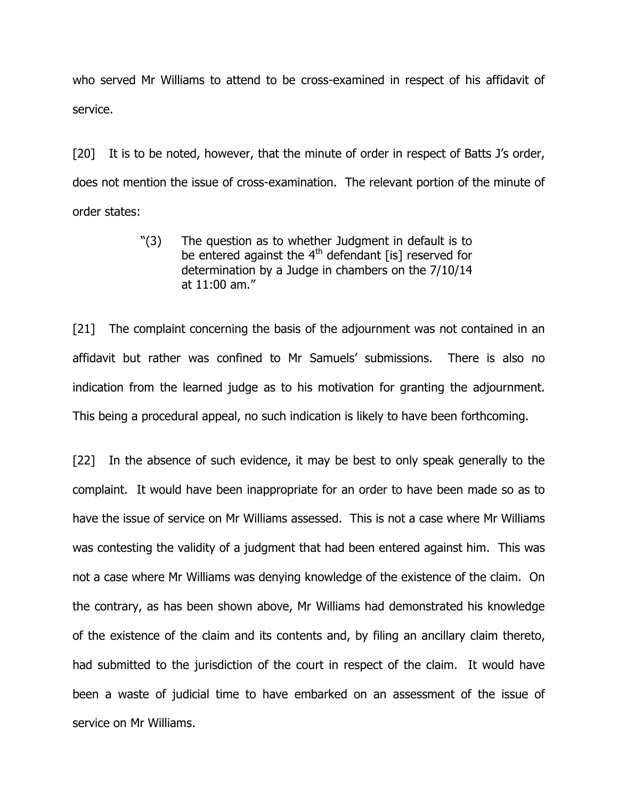who served Mr Williams to attend to be cross-examined in respect of his affidavit of service.

[20] It is to be noted, however, that the minute of order in respect of Batts J's order, does not mention the issue of cross-examination. The relevant portion of the minute of order states:

> "(3) The question as to whether Judgment in default is to be entered against the  $4<sup>th</sup>$  defendant [is] reserved for determination by a Judge in chambers on the 7/10/14 at 11:00 am."

[21] The complaint concerning the basis of the adjournment was not contained in an affidavit but rather was confined to Mr Samuels' submissions. There is also no indication from the learned judge as to his motivation for granting the adjournment. This being a procedural appeal, no such indication is likely to have been forthcoming.

[22] In the absence of such evidence, it may be best to only speak generally to the complaint. It would have been inappropriate for an order to have been made so as to have the issue of service on Mr Williams assessed. This is not a case where Mr Williams was contesting the validity of a judgment that had been entered against him. This was not a case where Mr Williams was denying knowledge of the existence of the claim. On the contrary, as has been shown above, Mr Williams had demonstrated his knowledge of the existence of the claim and its contents and, by filing an ancillary claim thereto, had submitted to the jurisdiction of the court in respect of the claim. It would have been a waste of judicial time to have embarked on an assessment of the issue of service on Mr Williams.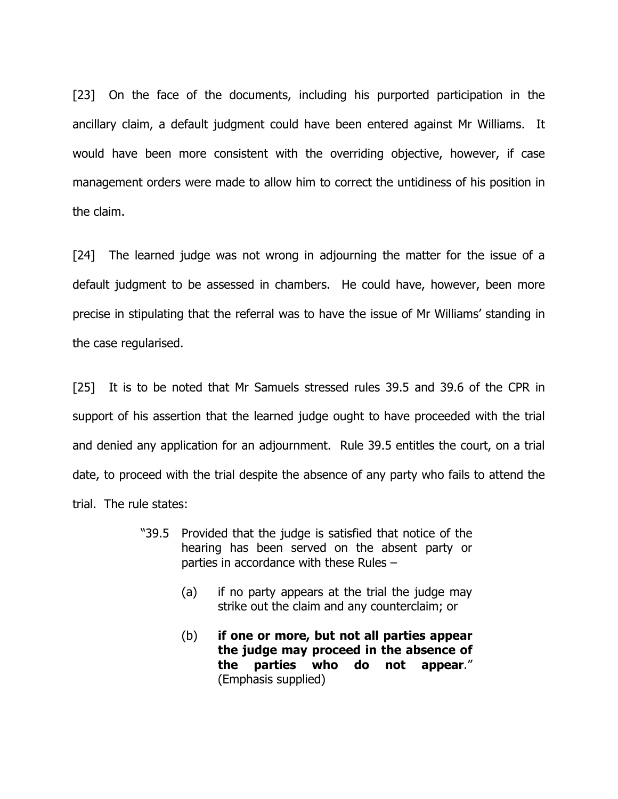[23] On the face of the documents, including his purported participation in the ancillary claim, a default judgment could have been entered against Mr Williams. It would have been more consistent with the overriding objective, however, if case management orders were made to allow him to correct the untidiness of his position in the claim.

[24] The learned judge was not wrong in adjourning the matter for the issue of a default judgment to be assessed in chambers. He could have, however, been more precise in stipulating that the referral was to have the issue of Mr Williams' standing in the case regularised.

[25] It is to be noted that Mr Samuels stressed rules 39.5 and 39.6 of the CPR in support of his assertion that the learned judge ought to have proceeded with the trial and denied any application for an adjournment. Rule 39.5 entitles the court, on a trial date, to proceed with the trial despite the absence of any party who fails to attend the trial. The rule states:

- "39.5 Provided that the judge is satisfied that notice of the hearing has been served on the absent party or parties in accordance with these Rules –
	- (a) if no party appears at the trial the judge may strike out the claim and any counterclaim; or
	- (b) **if one or more, but not all parties appear the judge may proceed in the absence of the parties who do not appear**." (Emphasis supplied)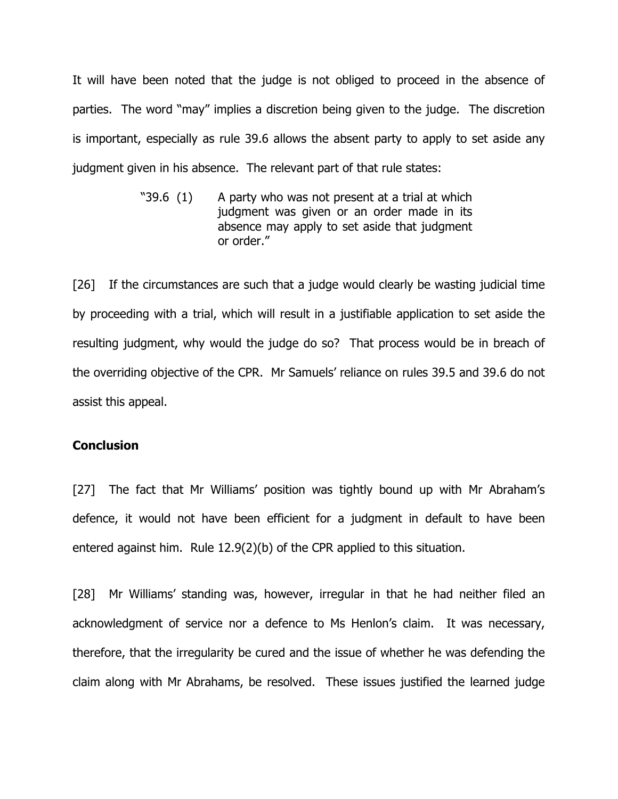It will have been noted that the judge is not obliged to proceed in the absence of parties. The word "may" implies a discretion being given to the judge. The discretion is important, especially as rule 39.6 allows the absent party to apply to set aside any judgment given in his absence. The relevant part of that rule states:

> "39.6 (1) A party who was not present at a trial at which judgment was given or an order made in its absence may apply to set aside that judgment or order."

[26] If the circumstances are such that a judge would clearly be wasting judicial time by proceeding with a trial, which will result in a justifiable application to set aside the resulting judgment, why would the judge do so? That process would be in breach of the overriding objective of the CPR. Mr Samuels' reliance on rules 39.5 and 39.6 do not assist this appeal.

### **Conclusion**

[27] The fact that Mr Williams' position was tightly bound up with Mr Abraham's defence, it would not have been efficient for a judgment in default to have been entered against him. Rule 12.9(2)(b) of the CPR applied to this situation.

[28] Mr Williams' standing was, however, irregular in that he had neither filed an acknowledgment of service nor a defence to Ms Henlon's claim. It was necessary, therefore, that the irregularity be cured and the issue of whether he was defending the claim along with Mr Abrahams, be resolved. These issues justified the learned judge